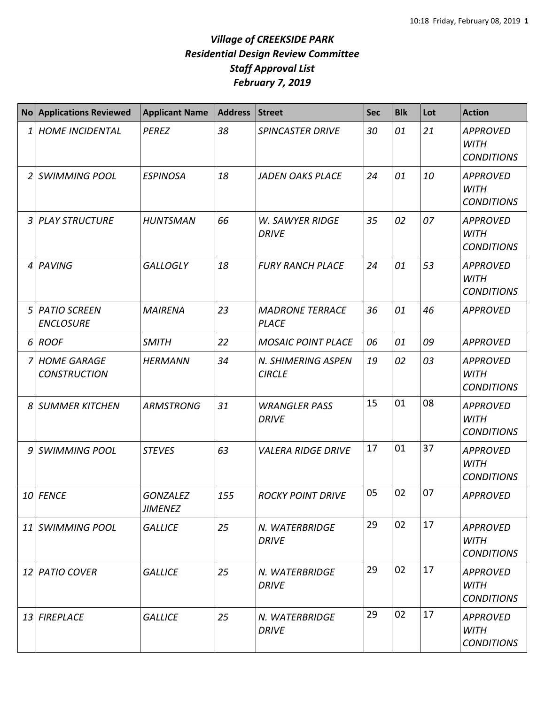|   | <b>No Applications Reviewed</b>           | <b>Applicant Name</b>             | <b>Address</b> | <b>Street</b>                          | <b>Sec</b> | <b>Blk</b> | Lot | <b>Action</b>                                       |
|---|-------------------------------------------|-----------------------------------|----------------|----------------------------------------|------------|------------|-----|-----------------------------------------------------|
| 1 | <b>HOME INCIDENTAL</b>                    | <b>PEREZ</b>                      | 38             | <b>SPINCASTER DRIVE</b>                | 30         | 01         | 21  | <b>APPROVED</b><br><b>WITH</b><br><b>CONDITIONS</b> |
| 2 | <b>SWIMMING POOL</b>                      | <b>ESPINOSA</b>                   | 18             | <b>JADEN OAKS PLACE</b>                | 24         | 01         | 10  | <b>APPROVED</b><br><b>WITH</b><br><b>CONDITIONS</b> |
| 3 | <b>PLAY STRUCTURE</b>                     | <b>HUNTSMAN</b>                   | 66             | <b>W. SAWYER RIDGE</b><br><b>DRIVE</b> | 35         | 02         | 07  | <b>APPROVED</b><br><b>WITH</b><br><b>CONDITIONS</b> |
| 4 | PAVING                                    | <b>GALLOGLY</b>                   | 18             | <b>FURY RANCH PLACE</b>                | 24         | 01         | 53  | <b>APPROVED</b><br><b>WITH</b><br><b>CONDITIONS</b> |
| 5 | <b>PATIO SCREEN</b><br><b>ENCLOSURE</b>   | <b>MAIRENA</b>                    | 23             | <b>MADRONE TERRACE</b><br><b>PLACE</b> | 36         | 01         | 46  | <b>APPROVED</b>                                     |
| 6 | <b>ROOF</b>                               | <b>SMITH</b>                      | 22             | <b>MOSAIC POINT PLACE</b>              | 06         | 01         | 09  | <b>APPROVED</b>                                     |
| 7 | <b>HOME GARAGE</b><br><b>CONSTRUCTION</b> | <b>HERMANN</b>                    | 34             | N. SHIMERING ASPEN<br><b>CIRCLE</b>    | 19         | 02         | 03  | <b>APPROVED</b><br><b>WITH</b><br><b>CONDITIONS</b> |
| 8 | <b>SUMMER KITCHEN</b>                     | <b>ARMSTRONG</b>                  | 31             | <b>WRANGLER PASS</b><br><b>DRIVE</b>   | 15         | 01         | 08  | <b>APPROVED</b><br><b>WITH</b><br><b>CONDITIONS</b> |
| 9 | <b>SWIMMING POOL</b>                      | <b>STEVES</b>                     | 63             | <b>VALERA RIDGE DRIVE</b>              | 17         | 01         | 37  | <b>APPROVED</b><br><b>WITH</b><br><b>CONDITIONS</b> |
|   | 10 FENCE                                  | <b>GONZALEZ</b><br><b>JIMENEZ</b> | 155            | <b>ROCKY POINT DRIVE</b>               | 05         | 02         | 07  | <b>APPROVED</b>                                     |
|   | 11 SWIMMING POOL                          | <b>GALLICE</b>                    | 25             | N. WATERBRIDGE<br><b>DRIVE</b>         | 29         | 02         | 17  | <b>APPROVED</b><br><b>WITH</b><br><b>CONDITIONS</b> |
|   | 12 PATIO COVER                            | <b>GALLICE</b>                    | 25             | N. WATERBRIDGE<br><b>DRIVE</b>         | 29         | 02         | 17  | <b>APPROVED</b><br><b>WITH</b><br><b>CONDITIONS</b> |
|   | 13 FIREPLACE                              | <b>GALLICE</b>                    | 25             | N. WATERBRIDGE<br><b>DRIVE</b>         | 29         | 02         | 17  | <b>APPROVED</b><br><b>WITH</b><br><b>CONDITIONS</b> |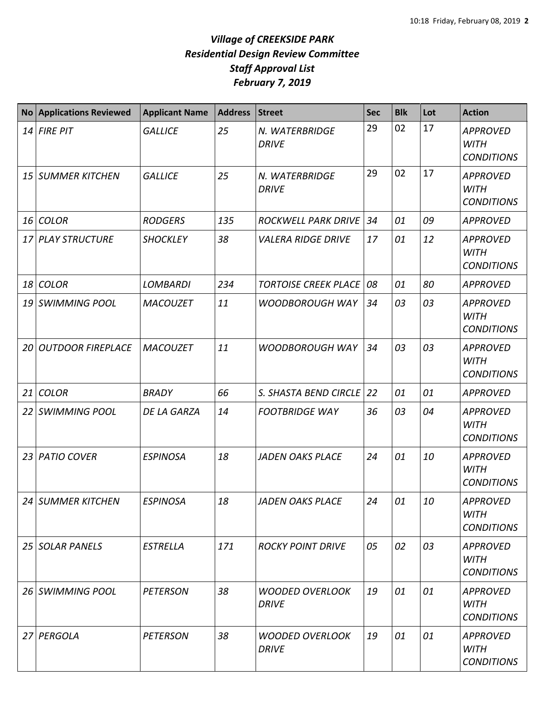| No <sub>1</sub> | <b>Applications Reviewed</b> | <b>Applicant Name</b> | <b>Address</b> | Street                                 | <b>Sec</b> | <b>Blk</b> | Lot | <b>Action</b>                                       |
|-----------------|------------------------------|-----------------------|----------------|----------------------------------------|------------|------------|-----|-----------------------------------------------------|
|                 | $14$ FIRE PIT                | <b>GALLICE</b>        | 25             | N. WATERBRIDGE<br><b>DRIVE</b>         | 29         | 02         | 17  | <b>APPROVED</b><br><b>WITH</b><br><b>CONDITIONS</b> |
|                 | 15 SUMMER KITCHEN            | <b>GALLICE</b>        | 25             | N. WATERBRIDGE<br><b>DRIVE</b>         | 29         | 02         | 17  | <b>APPROVED</b><br><b>WITH</b><br><b>CONDITIONS</b> |
|                 | 16 COLOR                     | <b>RODGERS</b>        | 135            | <b>ROCKWELL PARK DRIVE</b>             | 34         | 01         | 09  | <b>APPROVED</b>                                     |
|                 | 17 PLAY STRUCTURE            | <b>SHOCKLEY</b>       | 38             | <b>VALERA RIDGE DRIVE</b>              | 17         | 01         | 12  | <b>APPROVED</b><br><b>WITH</b><br><b>CONDITIONS</b> |
|                 | 18 COLOR                     | <b>LOMBARDI</b>       | 234            | <b>TORTOISE CREEK PLACE</b>            | 08         | 01         | 80  | <b>APPROVED</b>                                     |
|                 | 19 SWIMMING POOL             | <b>MACOUZET</b>       | 11             | <b>WOODBOROUGH WAY</b>                 | 34         | 03         | 03  | <b>APPROVED</b><br><b>WITH</b><br><b>CONDITIONS</b> |
| 20 I            | <b>OUTDOOR FIREPLACE</b>     | <b>MACOUZET</b>       | 11             | <b>WOODBOROUGH WAY</b>                 | 34         | 03         | 03  | <b>APPROVED</b><br><b>WITH</b><br><b>CONDITIONS</b> |
|                 | 21 COLOR                     | <b>BRADY</b>          | 66             | S. SHASTA BEND CIRCLE                  | 22         | 01         | 01  | <b>APPROVED</b>                                     |
|                 | 22 SWIMMING POOL             | DE LA GARZA           | 14             | <b>FOOTBRIDGE WAY</b>                  | 36         | 03         | 04  | <b>APPROVED</b><br><b>WITH</b><br><b>CONDITIONS</b> |
|                 | 23 PATIO COVER               | <b>ESPINOSA</b>       | 18             | <b>JADEN OAKS PLACE</b>                | 24         | 01         | 10  | <b>APPROVED</b><br><b>WITH</b><br><b>CONDITIONS</b> |
|                 | 24 SUMMER KITCHEN            | <b>ESPINOSA</b>       | 18             | JADEN OAKS PLACE                       | 24         | 01         | 10  | <b>APPROVED</b><br><b>WITH</b><br><b>CONDITIONS</b> |
|                 | 25 SOLAR PANELS              | <b>ESTRELLA</b>       | 171            | <b>ROCKY POINT DRIVE</b>               | 05         | 02         | 03  | <b>APPROVED</b><br><b>WITH</b><br><b>CONDITIONS</b> |
|                 | 26 SWIMMING POOL             | <b>PETERSON</b>       | 38             | <b>WOODED OVERLOOK</b><br><b>DRIVE</b> | 19         | 01         | 01  | <b>APPROVED</b><br><b>WITH</b><br><b>CONDITIONS</b> |
|                 | 27 PERGOLA                   | <b>PETERSON</b>       | 38             | <b>WOODED OVERLOOK</b><br><b>DRIVE</b> | 19         | 01         | 01  | <b>APPROVED</b><br>WITH<br><b>CONDITIONS</b>        |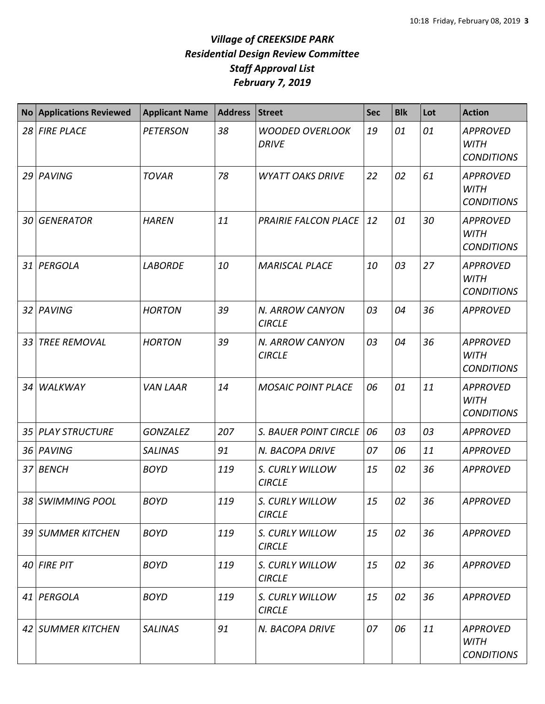| <b>No</b>       | <b>Applications Reviewed</b> | <b>Applicant Name</b> | <b>Address</b> | Street                                 | <b>Sec</b> | <b>Blk</b> | Lot | <b>Action</b>                                       |
|-----------------|------------------------------|-----------------------|----------------|----------------------------------------|------------|------------|-----|-----------------------------------------------------|
|                 | 28 FIRE PLACE                | <b>PETERSON</b>       | 38             | <b>WOODED OVERLOOK</b><br><b>DRIVE</b> | 19         | 01         | 01  | <b>APPROVED</b><br><b>WITH</b><br><b>CONDITIONS</b> |
|                 | 29 PAVING                    | <b>TOVAR</b>          | 78             | <b>WYATT OAKS DRIVE</b>                | 22         | 02         | 61  | <b>APPROVED</b><br><b>WITH</b><br><b>CONDITIONS</b> |
|                 | 30 GENERATOR                 | <b>HAREN</b>          | 11             | <b>PRAIRIE FALCON PLACE</b>            | 12         | 01         | 30  | <b>APPROVED</b><br><b>WITH</b><br><b>CONDITIONS</b> |
|                 | 31 PERGOLA                   | <b>LABORDE</b>        | 10             | <b>MARISCAL PLACE</b>                  | 10         | 03         | 27  | <b>APPROVED</b><br><b>WITH</b><br><b>CONDITIONS</b> |
|                 | 32 PAVING                    | <b>HORTON</b>         | 39             | N. ARROW CANYON<br><b>CIRCLE</b>       | 03         | 04         | 36  | <b>APPROVED</b>                                     |
| 33              | <b>TREE REMOVAL</b>          | <b>HORTON</b>         | 39             | N. ARROW CANYON<br><b>CIRCLE</b>       | 03         | 04         | 36  | <b>APPROVED</b><br><b>WITH</b><br><b>CONDITIONS</b> |
| 34 <sup>1</sup> | WALKWAY                      | <b>VAN LAAR</b>       | 14             | <b>MOSAIC POINT PLACE</b>              | 06         | 01         | 11  | <b>APPROVED</b><br><b>WITH</b><br><b>CONDITIONS</b> |
|                 | 35 PLAY STRUCTURE            | <b>GONZALEZ</b>       | 207            | <b>S. BAUER POINT CIRCLE</b>           | 06         | 03         | 03  | <b>APPROVED</b>                                     |
|                 | 36 PAVING                    | <b>SALINAS</b>        | 91             | N. BACOPA DRIVE                        | 07         | 06         | 11  | <b>APPROVED</b>                                     |
|                 | 37 BENCH                     | <b>BOYD</b>           | 119            | S. CURLY WILLOW<br><b>CIRCLE</b>       | 15         | 02         | 36  | <b>APPROVED</b>                                     |
|                 | 38 SWIMMING POOL             | <b>BOYD</b>           | 119            | S. CURLY WILLOW<br><b>CIRCLE</b>       | 15         | 02         | 36  | <b>APPROVED</b>                                     |
|                 | 39 SUMMER KITCHEN            | <b>BOYD</b>           | 119            | S. CURLY WILLOW<br><b>CIRCLE</b>       | 15         | 02         | 36  | <b>APPROVED</b>                                     |
|                 | $40$ FIRE PIT                | <b>BOYD</b>           | 119            | S. CURLY WILLOW<br><b>CIRCLE</b>       | 15         | 02         | 36  | <b>APPROVED</b>                                     |
|                 | 41 PERGOLA                   | <b>BOYD</b>           | 119            | S. CURLY WILLOW<br><b>CIRCLE</b>       | 15         | 02         | 36  | <b>APPROVED</b>                                     |
|                 | 42 SUMMER KITCHEN            | <b>SALINAS</b>        | 91             | N. BACOPA DRIVE                        | 07         | 06         | 11  | <b>APPROVED</b><br><b>WITH</b><br><b>CONDITIONS</b> |